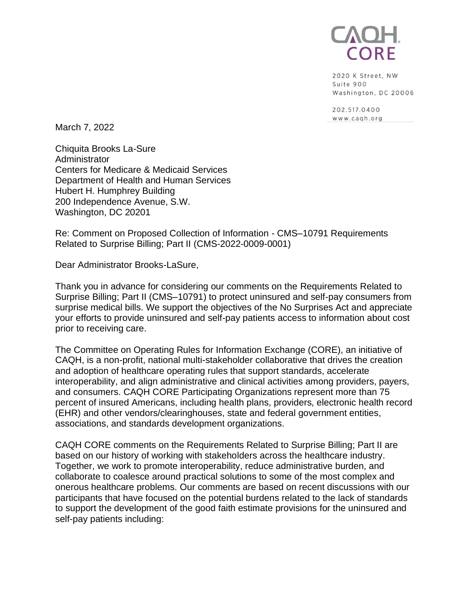

2020 K Street, NW Suite 900 Washington, DC 20006

202.517.0400 www.cagh.org

March 7, 2022

Chiquita Brooks La-Sure **Administrator** Centers for Medicare & Medicaid Services Department of Health and Human Services Hubert H. Humphrey Building 200 Independence Avenue, S.W. Washington, DC 20201

Re: Comment on Proposed Collection of Information - CMS–10791 Requirements Related to Surprise Billing; Part II (CMS-2022-0009-0001)

Dear Administrator Brooks-LaSure,

Thank you in advance for considering our comments on the Requirements Related to Surprise Billing; Part II (CMS–10791) to protect uninsured and self-pay consumers from surprise medical bills. We support the objectives of the No Surprises Act and appreciate your efforts to provide uninsured and self-pay patients access to information about cost prior to receiving care.

The Committee on Operating Rules for Information Exchange (CORE), an initiative of CAQH, is a non-profit, national multi-stakeholder collaborative that drives the creation and adoption of healthcare operating rules that support standards, accelerate interoperability, and align administrative and clinical activities among providers, payers, and consumers. CAQH CORE Participating Organizations represent more than 75 percent of insured Americans, including health plans, providers, electronic health record (EHR) and other vendors/clearinghouses, state and federal government entities, associations, and standards development organizations.

CAQH CORE comments on the Requirements Related to Surprise Billing; Part II are based on our history of working with stakeholders across the healthcare industry. Together, we work to promote interoperability, reduce administrative burden, and collaborate to coalesce around practical solutions to some of the most complex and onerous healthcare problems. Our comments are based on recent discussions with our participants that have focused on the potential burdens related to the lack of standards to support the development of the good faith estimate provisions for the uninsured and self-pay patients including: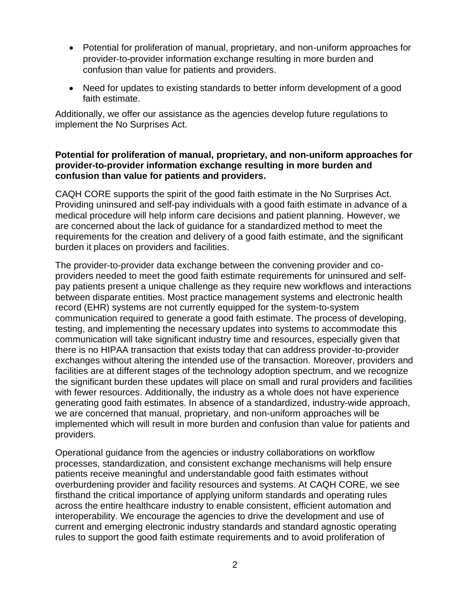- Potential for proliferation of manual, proprietary, and non-uniform approaches for provider-to-provider information exchange resulting in more burden and confusion than value for patients and providers.
- Need for updates to existing standards to better inform development of a good faith estimate.

Additionally, we offer our assistance as the agencies develop future regulations to implement the No Surprises Act.

## **Potential for proliferation of manual, proprietary, and non-uniform approaches for provider-to-provider information exchange resulting in more burden and confusion than value for patients and providers.**

CAQH CORE supports the spirit of the good faith estimate in the No Surprises Act. Providing uninsured and self-pay individuals with a good faith estimate in advance of a medical procedure will help inform care decisions and patient planning. However, we are concerned about the lack of guidance for a standardized method to meet the requirements for the creation and delivery of a good faith estimate, and the significant burden it places on providers and facilities.

The provider-to-provider data exchange between the convening provider and coproviders needed to meet the good faith estimate requirements for uninsured and selfpay patients present a unique challenge as they require new workflows and interactions between disparate entities. Most practice management systems and electronic health record (EHR) systems are not currently equipped for the system-to-system communication required to generate a good faith estimate. The process of developing, testing, and implementing the necessary updates into systems to accommodate this communication will take significant industry time and resources, especially given that there is no HIPAA transaction that exists today that can address provider-to-provider exchanges without altering the intended use of the transaction. Moreover, providers and facilities are at different stages of the technology adoption spectrum, and we recognize the significant burden these updates will place on small and rural providers and facilities with fewer resources. Additionally, the industry as a whole does not have experience generating good faith estimates. In absence of a standardized, industry-wide approach, we are concerned that manual, proprietary, and non-uniform approaches will be implemented which will result in more burden and confusion than value for patients and providers.

Operational guidance from the agencies or industry collaborations on workflow processes, standardization, and consistent exchange mechanisms will help ensure patients receive meaningful and understandable good faith estimates without overburdening provider and facility resources and systems. At CAQH CORE, we see firsthand the critical importance of applying uniform standards and operating rules across the entire healthcare industry to enable consistent, efficient automation and interoperability. We encourage the agencies to drive the development and use of current and emerging electronic industry standards and standard agnostic operating rules to support the good faith estimate requirements and to avoid proliferation of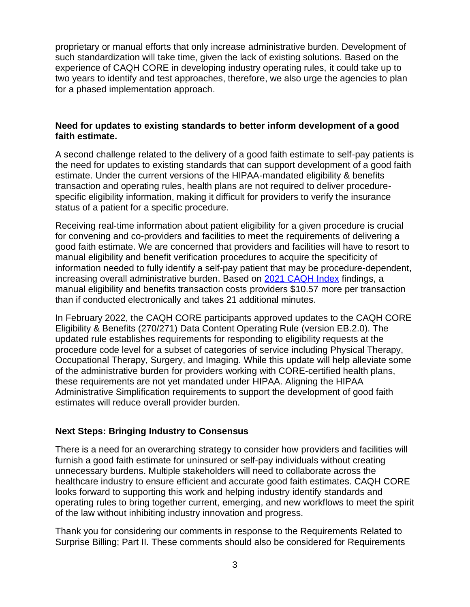proprietary or manual efforts that only increase administrative burden. Development of such standardization will take time, given the lack of existing solutions. Based on the experience of CAQH CORE in developing industry operating rules, it could take up to two years to identify and test approaches, therefore, we also urge the agencies to plan for a phased implementation approach.

## **Need for updates to existing standards to better inform development of a good faith estimate.**

A second challenge related to the delivery of a good faith estimate to self-pay patients is the need for updates to existing standards that can support development of a good faith estimate. Under the current versions of the HIPAA-mandated eligibility & benefits transaction and operating rules, health plans are not required to deliver procedurespecific eligibility information, making it difficult for providers to verify the insurance status of a patient for a specific procedure.

Receiving real-time information about patient eligibility for a given procedure is crucial for convening and co-providers and facilities to meet the requirements of delivering a good faith estimate. We are concerned that providers and facilities will have to resort to manual eligibility and benefit verification procedures to acquire the specificity of information needed to fully identify a self-pay patient that may be procedure-dependent, increasing overall administrative burden. Based on [2021 CAQH Index](https://www.caqh.org/sites/default/files/explorations/index/report/2021-caqh-index.pdf) findings, a manual eligibility and benefits transaction costs providers \$10.57 more per transaction than if conducted electronically and takes 21 additional minutes.

In February 2022, the CAQH CORE participants approved updates to the CAQH CORE Eligibility & Benefits (270/271) Data Content Operating Rule (version EB.2.0). The updated rule establishes requirements for responding to eligibility requests at the procedure code level for a subset of categories of service including Physical Therapy, Occupational Therapy, Surgery, and Imaging. While this update will help alleviate some of the administrative burden for providers working with CORE-certified health plans, these requirements are not yet mandated under HIPAA. Aligning the HIPAA Administrative Simplification requirements to support the development of good faith estimates will reduce overall provider burden.

## **Next Steps: Bringing Industry to Consensus**

There is a need for an overarching strategy to consider how providers and facilities will furnish a good faith estimate for uninsured or self-pay individuals without creating unnecessary burdens. Multiple stakeholders will need to collaborate across the healthcare industry to ensure efficient and accurate good faith estimates. CAQH CORE looks forward to supporting this work and helping industry identify standards and operating rules to bring together current, emerging, and new workflows to meet the spirit of the law without inhibiting industry innovation and progress.

Thank you for considering our comments in response to the Requirements Related to Surprise Billing; Part II. These comments should also be considered for Requirements